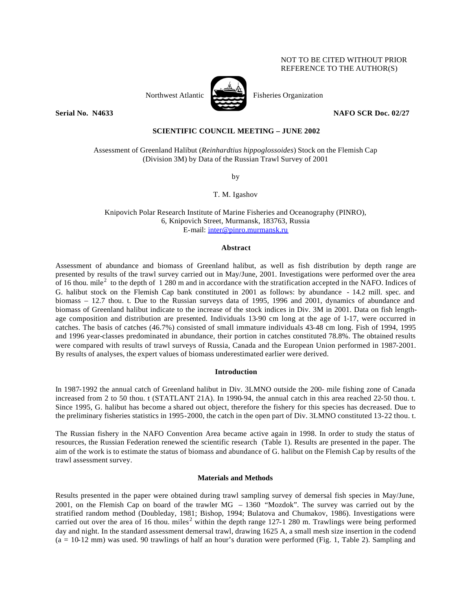## NOT TO BE CITED WITHOUT PRIOR REFERENCE TO THE AUTHOR(S)





Northwest Atlantic Fisheries Organization

**Serial No. N4633 NAFO SCR Doc. 02/27** 

# **SCIENTIFIC COUNCIL MEETING – JUNE 2002**

Assessment of Greenland Halibut (*Reinhardtius hippoglossoides*) Stock on the Flemish Cap (Division 3M) by Data of the Russian Trawl Survey of 2001

by

T. M. Igashov

Knipovich Polar Research Institute of Marine Fisheries and Oceanography (PINRO), 6, Knipovich Street, Murmansk, 183763, Russia E-mail: inter@pinro.murmansk.ru

#### **Abstract**

Assessment of abundance and biomass of Greenland halibut, as well as fish distribution by depth range are presented by results of the trawl survey carried out in May/June, 2001. Investigations were performed over the area of 16 thou. mile<sup>2</sup> to the depth of 1 280 m and in accordance with the stratification accepted in the NAFO. Indices of G. halibut stock on the Flemish Cap bank constituted in 2001 as follows: by abundance - 14.2 mill. spec. and biomass – 12.7 thou. t. Due to the Russian surveys data of 1995, 1996 and 2001, dynamics of abundance and biomass of Greenland halibut indicate to the increase of the stock indices in Div. 3M in 2001. Data on fish lengthage composition and distribution are presented. Individuals 13-90 cm long at the age of 1-17, were occurred in catches. The basis of catches (46.7%) consisted of small immature individuals 43-48 cm long. Fish of 1994, 1995 and 1996 year-classes predominated in abundance, their portion in catches constituted 78.8%. The obtained results were compared with results of trawl surveys of Russia, Canada and the European Union performed in 1987-2001. By results of analyses, the expert values of biomass underestimated earlier were derived.

#### **Introduction**

In 1987-1992 the annual catch of Greenland halibut in Div. 3LMNO outside the 200- mile fishing zone of Canada increased from 2 to 50 thou. t (STATLANT 21A). In 1990-94, the annual catch in this area reached 22-50 thou. t. Since 1995, G. halibut has become a shared out object, therefore the fishery for this species has decreased. Due to the preliminary fisheries statistics in 1995-2000, the catch in the open part of Div. 3LMNO constituted 13-22 thou. t.

The Russian fishery in the NAFO Convention Area became active again in 1998. In order to study the status of resources, the Russian Federation renewed the scientific research (Table 1). Results are presented in the paper. The aim of the work is to estimate the status of biomass and abundance of G. halibut on the Flemish Cap by results of the trawl assessment survey.

## **Materials and Methods**

Results presented in the paper were obtained during trawl sampling survey of demersal fish species in May/June, 2001, on the Flemish Cap on board of the trawler MG – 1360 "Mozdok". The survey was carried out by the stratified random method (Doubleday, 1981; Bishop, 1994; Bulatova and Chumakov, 1986). Investigations were carried out over the area of 16 thou. miles<sup>2</sup> within the depth range 127-1 280 m. Trawlings were being performed day and night. In the standard assessment demersal trawl, drawing 1625 A, a small mesh size insertion in the codend  $(a = 10-12$  mm) was used. 90 trawlings of half an hour's duration were performed (Fig. 1, Table 2). Sampling and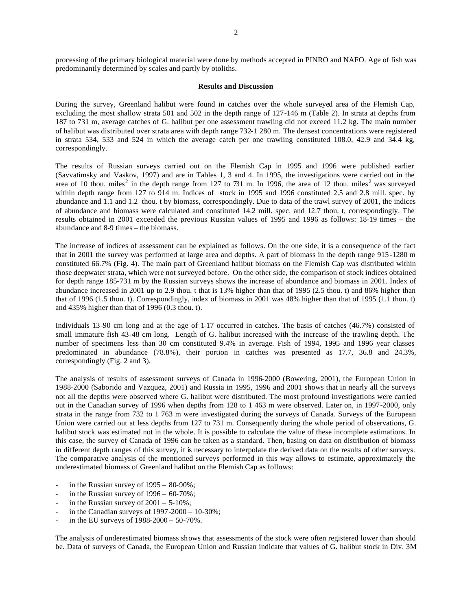### **Results and Discussion**

During the survey, Greenland halibut were found in catches over the whole surveyed area of the Flemish Cap, excluding the most shallow strata 501 and 502 in the depth range of 127-146 m (Table 2). In strata at depths from 187 to 731 m, average catches of G. halibut per one assessment trawling did not exceed 11.2 kg. The main number of halibut was distributed over strata area with depth range 732-1 280 m. The densest concentrations were registered in strata 534, 533 and 524 in which the average catch per one trawling constituted 108.0, 42.9 and 34.4 kg, correspondingly.

The results of Russian surveys carried out on the Flemish Cap in 1995 and 1996 were published earlier (Savvatimsky and Vaskov, 1997) and are in Tables 1, 3 and 4. In 1995, the investigations were carried out in the area of 10 thou. miles<sup>2</sup> in the depth range from 127 to 731 m. In 1996, the area of 12 thou. miles<sup>2</sup> was surveyed within depth range from 127 to 914 m. Indices of stock in 1995 and 1996 constituted 2.5 and 2.8 mill. spec. by abundance and 1.1 and 1.2 thou. t by biomass, correspondingly. Due to data of the trawl survey of 2001, the indices of abundance and biomass were calculated and constituted 14.2 mill. spec. and 12.7 thou. t, correspondingly. The results obtained in 2001 exceeded the previous Russian values of 1995 and 1996 as follows: 18-19 times – the abundance and 8-9 times – the biomass.

The increase of indices of assessment can be explained as follows. On the one side, it is a consequence of the fact that in 2001 the survey was performed at large area and depths. A part of biomass in the depth range 915-1280 m constituted 66.7% (Fig. 4). The main part of Greenland halibut biomass on the Flemish Cap was distributed within those deepwater strata, which were not surveyed before. On the other side, the comparison of stock indices obtained for depth range 185-731 m by the Russian surveys shows the increase of abundance and biomass in 2001. Index of abundance increased in 2001 up to 2.9 thou. t that is 13% higher than that of 1995 (2.5 thou. t) and 86% higher than that of 1996 (1.5 thou. t). Correspondingly, index of biomass in 2001 was 48% higher than that of 1995 (1.1 thou. t) and 435% higher than that of 1996 (0.3 thou. t).

Individuals 13-90 cm long and at the age of 1-17 occurred in catches. The basis of catches (46.7%) consisted of small immature fish 43-48 cm long. Length of G. halibut increased with the increase of the trawling depth. The number of specimens less than 30 cm constituted 9.4% in average. Fish of 1994, 1995 and 1996 year classes predominated in abundance (78.8%), their portion in catches was presented as 17.7, 36.8 and 24.3%, correspondingly (Fig. 2 and 3).

The analysis of results of assessment surveys of Canada in 1996-2000 (Bowering, 2001), the European Union in 1988-2000 (Saborido and Vazquez, 2001) and Russia in 1995, 1996 and 2001 shows that in nearly all the surveys not all the depths were observed where G. halibut were distributed. The most profound investigations were carried out in the Canadian survey of 1996 when depths from 128 to 1 463 m were observed. Later on, in 1997-2000, only strata in the range from 732 to 1 763 m were investigated during the surveys of Canada. Surveys of the European Union were carried out at less depths from 127 to 731 m. Consequently during the whole period of observations, G. halibut stock was estimated not in the whole. It is possible to calculate the value of these incomplete estimations. In this case, the survey of Canada of 1996 can be taken as a standard. Then, basing on data on distribution of biomass in different depth ranges of this survey, it is necessary to interpolate the derived data on the results of other surveys. The comparative analysis of the mentioned surveys performed in this way allows to estimate, approximately the underestimated biomass of Greenland halibut on the Flemish Cap as follows:

- in the Russian survey of  $1995 80 90\%$ ;
- in the Russian survey of  $1996 60-70\%$ ;
- in the Russian survey of  $2001 5-10\%$ ;
- in the Canadian surveys of  $1997-2000-10-30\%$ ;
- in the EU surveys of  $1988-2000 50-70%$ .

The analysis of underestimated biomass shows that assessments of the stock were often registered lower than should be. Data of surveys of Canada, the European Union and Russian indicate that values of G. halibut stock in Div. 3M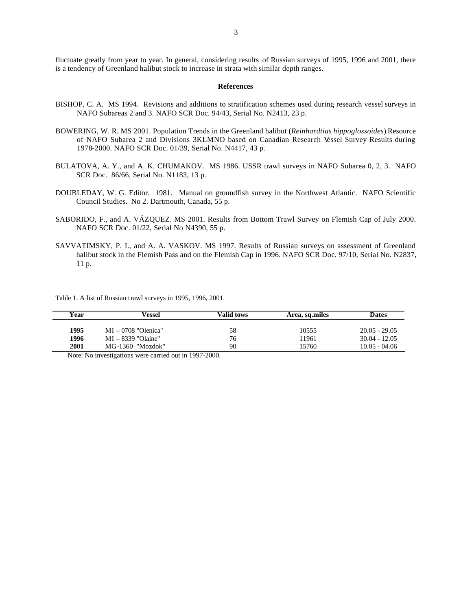fluctuate greatly from year to year. In general, considering results of Russian surveys of 1995, 1996 and 2001, there is a tendency of Greenland halibut stock to increase in strata with similar depth ranges.

#### **References**

- BISHOP, C. A. MS 1994. Revisions and additions to stratification schemes used during research vessel surveys in NAFO Subareas 2 and 3. NAFO SCR Doc. 94/43, Serial No. N2413, 23 p.
- BOWERING, W. R. MS 2001. Population Trends in the Greenland halibut (*Reinhardtius hippoglossoides*) Resource of NAFO Subarea 2 and Divisions 3KLMNO based on Canadian Research Vessel Survey Results during 1978-2000. NAFO SCR Doc. 01/39, Serial No. N4417, 43 p.
- BULATOVA, A. Y., and A. K. CHUMAKOV. MS 1986. USSR trawl surveys in NAFO Subarea 0, 2, 3. NAFO SCR Doc. 86/66, Serial No. N1183, 13 p.
- DOUBLEDAY, W. G. Editor. 1981. Manual on groundfish survey in the Northwest Atlantic. NAFO Scientific Council Studies. No 2. Dartmouth, Canada, 55 p.
- SABORIDO, F., and A. VÁZQUEZ. MS 2001. Results from Bottom Trawl Survey on Flemish Cap of July 2000. NAFO SCR Doc. 01/22, Serial No N4390, 55 p.
- SAVVATIMSKY, P. I., and A. A. VASKOV. MS 1997. Results of Russian surveys on assessment of Greenland halibut stock in the Flemish Pass and on the Flemish Cap in 1996. NAFO SCR Doc. 97/10, Serial No. N2837, 11 p.

Table 1. A list of Russian trawl surveys in 1995, 1996, 2001.

| Year | Vessel                | Valid tows | Area, sq.miles | <b>Dates</b>    |
|------|-----------------------|------------|----------------|-----------------|
| 1995 | $MI - 0708$ "Olenica" | 58         | 10555          | $20.05 - 29.05$ |
| 1996 | $MI - 8339$ "Olaine"  | 76         | 11961          | $30.04 - 12.05$ |
| 2001 | MG-1360 "Mozdok"      | 90         | 15760          | $10.05 - 04.06$ |

Note: No investigations were carried out in 1997-2000.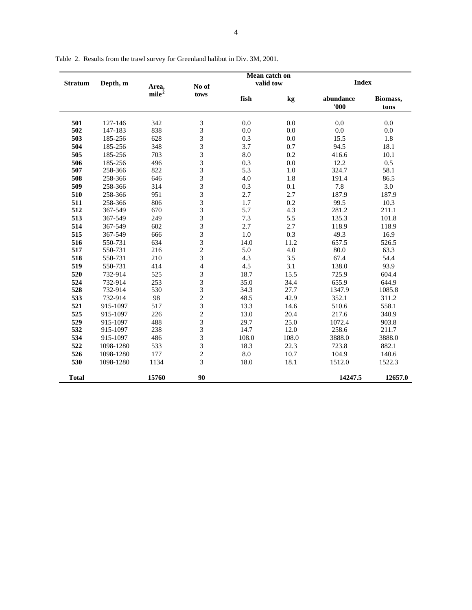|                |           |                   | Mean catch on            |           |         |           |              |  |  |
|----------------|-----------|-------------------|--------------------------|-----------|---------|-----------|--------------|--|--|
| <b>Stratum</b> | Depth, m  | Area,             | No of                    | valid tow |         |           | <b>Index</b> |  |  |
|                |           | mile <sup>2</sup> | tows                     |           |         |           |              |  |  |
|                |           |                   |                          | fish      | kg      | abundance | Biomass,     |  |  |
|                |           |                   |                          |           |         | '000'     | tons         |  |  |
|                |           |                   |                          |           |         |           |              |  |  |
| 501            | 127-146   | 342               | $\mathfrak{Z}$           | 0.0       | 0.0     | 0.0       | 0.0          |  |  |
| 502            | 147-183   | 838               | 3                        | 0.0       | 0.0     | 0.0       | 0.0          |  |  |
| 503            | 185-256   | 628               | 3                        | 0.3       | 0.0     | 15.5      | 1.8          |  |  |
| 504            | 185-256   | 348               | 3                        | 3.7       | 0.7     | 94.5      | 18.1         |  |  |
| 505            | 185-256   | 703               | 3                        | 8.0       | 0.2     | 416.6     | 10.1         |  |  |
| 506            | 185-256   | 496               | 3                        | 0.3       | $0.0\,$ | 12.2      | 0.5          |  |  |
| 507            | 258-366   | 822               | $\mathfrak{Z}$           | 5.3       | 1.0     | 324.7     | 58.1         |  |  |
| 508            | 258-366   | 646               | 3                        | 4.0       | 1.8     | 191.4     | 86.5         |  |  |
| 509            | 258-366   | 314               | 3                        | 0.3       | 0.1     | 7.8       | 3.0          |  |  |
| 510            | 258-366   | 951               | 3                        | 2.7       | 2.7     | 187.9     | 187.9        |  |  |
| 511            | 258-366   | 806               | 3                        | 1.7       | 0.2     | 99.5      | 10.3         |  |  |
| 512            | 367-549   | 670               | 3                        | 5.7       | 4.3     | 281.2     | 211.1        |  |  |
| 513            | 367-549   | 249               | 3                        | 7.3       | 5.5     | 135.3     | 101.8        |  |  |
| 514            | 367-549   | 602               | $\overline{3}$           | 2.7       | 2.7     | 118.9     | 118.9        |  |  |
| 515            | 367-549   | 666               | 3                        | $1.0\,$   | 0.3     | 49.3      | 16.9         |  |  |
| 516            | 550-731   | 634               | 3                        | 14.0      | 11.2    | 657.5     | 526.5        |  |  |
| 517            | 550-731   | 216               | $\overline{c}$           | 5.0       | 4.0     | 80.0      | 63.3         |  |  |
| 518            | 550-731   | 210               | 3                        | 4.3       | 3.5     | 67.4      | 54.4         |  |  |
| 519            | 550-731   | 414               | $\overline{\mathcal{L}}$ | 4.5       | 3.1     | 138.0     | 93.9         |  |  |
| 520            | 732-914   | 525               | 3                        | 18.7      | 15.5    | 725.9     | 604.4        |  |  |
| 524            | 732-914   | 253               | 3                        | 35.0      | 34.4    | 655.9     | 644.9        |  |  |
| 528            | 732-914   | 530               | 3                        | 34.3      | 27.7    | 1347.9    | 1085.8       |  |  |
| 533            | 732-914   | 98                | $\overline{c}$           | 48.5      | 42.9    | 352.1     | 311.2        |  |  |
| 521            | 915-1097  | 517               | $\overline{3}$           | 13.3      | 14.6    | 510.6     | 558.1        |  |  |
| 525            | 915-1097  | 226               | $\overline{c}$           | 13.0      | 20.4    | 217.6     | 340.9        |  |  |
| 529            | 915-1097  | 488               | $\overline{3}$           | 29.7      | 25.0    | 1072.4    | 903.8        |  |  |
| 532            | 915-1097  | 238               | 3                        | 14.7      | 12.0    | 258.6     | 211.7        |  |  |
| 534            | 915-1097  | 486               | 3                        | 108.0     | 108.0   | 3888.0    | 3888.0       |  |  |
| 522            | 1098-1280 | 533               | 3                        | 18.3      | 22.3    | 723.8     | 882.1        |  |  |
| 526            | 1098-1280 | 177               | $\overline{c}$           | 8.0       | 10.7    | 104.9     | 140.6        |  |  |
| 530            | 1098-1280 | 1134              | 3                        | 18.0      | 18.1    | 1512.0    | 1522.3       |  |  |
|                |           |                   |                          |           |         |           |              |  |  |
| <b>Total</b>   |           | 15760             | 90                       |           |         | 14247.5   | 12657.0      |  |  |

Table 2. Results from the trawl survey for Greenland halibut in Div. 3M, 2001.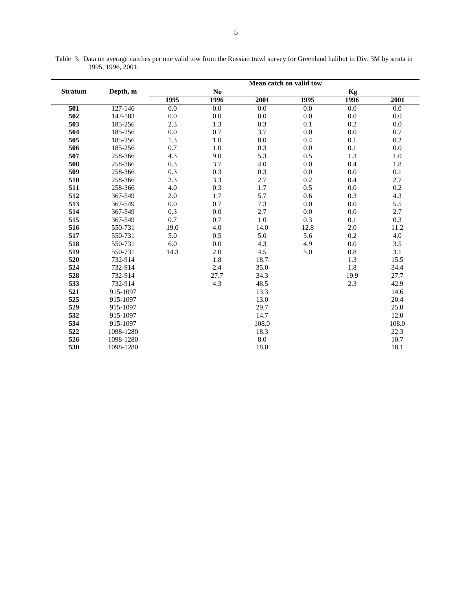| <b>Stratum</b> | Depth, m  | Mean catch on valid tow |      |       |      |         |       |  |
|----------------|-----------|-------------------------|------|-------|------|---------|-------|--|
|                |           | No                      |      |       | Kg   |         |       |  |
|                |           | 1995                    | 1996 | 2001  | 1995 | 1996    | 2001  |  |
| 501            | 127-146   | 0.0                     | 0.0  | 0.0   | 0.0  | 0.0     | 0.0   |  |
| 502            | 147-183   | 0.0                     | 0.0  | 0.0   | 0.0  | 0.0     | 0.0   |  |
| 503            | 185-256   | 2.3                     | 1.3  | 0.3   | 0.1  | 0.2     | 0.0   |  |
| 504            | 185-256   | 0.0                     | 0.7  | 3.7   | 0.0  | 0.0     | 0.7   |  |
| 505            | 185-256   | 1.3                     | 1.0  | 8.0   | 0.4  | 0.1     | 0.2   |  |
| 506            | 185-256   | 0.7                     | 1.0  | 0.3   | 0.0  | 0.1     | 0.0   |  |
| 507            | 258-366   | 4.3                     | 9.0  | 5.3   | 0.5  | 1.3     | 1.0   |  |
| 508            | 258-366   | 0.3                     | 3.7  | 4.0   | 0.0  | 0.4     | 1.8   |  |
| 509            | 258-366   | 0.3                     | 0.3  | 0.3   | 0.0  | 0.0     | 0.1   |  |
| 510            | 258-366   | 2.3                     | 3.3  | 2.7   | 0.2  | 0.4     | 2.7   |  |
| 511            | 258-366   | 4.0                     | 0.3  | 1.7   | 0.5  | 0.0     | 0.2   |  |
| 512            | 367-549   | 2.0                     | 1.7  | 5.7   | 0.6  | 0.3     | 4.3   |  |
| 513            | 367-549   | 0.0                     | 0.7  | 7.3   | 0.0  | 0.0     | 5.5   |  |
| 514            | 367-549   | 0.3                     | 0.0  | 2.7   | 0.0  | $0.0\,$ | 2.7   |  |
| 515            | 367-549   | 0.7                     | 0.7  | 1.0   | 0.3  | 0.1     | 0.3   |  |
| 516            | 550-731   | 19.0                    | 4.0  | 14.0  | 12.8 | $2.0\,$ | 11.2  |  |
| 517            | 550-731   | 5.0                     | 0.5  | 5.0   | 5.6  | 0.2     | 4.0   |  |
| 518            | 550-731   | 6.0                     | 0.0  | 4.3   | 4.9  | 0.0     | 3.5   |  |
| 519            | 550-731   | 14.3                    | 2.0  | 4.5   | 5.0  | 0.8     | 3.1   |  |
| 520            | 732-914   |                         | 1.8  | 18.7  |      | 1.3     | 15.5  |  |
| 524            | 732-914   |                         | 2.4  | 35.0  |      | 1.8     | 34.4  |  |
| 528            | 732-914   |                         | 27.7 | 34.3  |      | 19.9    | 27.7  |  |
| 533            | 732-914   |                         | 4.3  | 48.5  |      | 2.3     | 42.9  |  |
| 521            | 915-1097  |                         |      | 13.3  |      |         | 14.6  |  |
| 525            | 915-1097  |                         |      | 13.0  |      |         | 20.4  |  |
| 529            | 915-1097  |                         |      | 29.7  |      |         | 25.0  |  |
| 532            | 915-1097  |                         |      | 14.7  |      |         | 12.0  |  |
| 534            | 915-1097  |                         |      | 108.0 |      |         | 108.0 |  |
| 522            | 1098-1280 |                         |      | 18.3  |      |         | 22.3  |  |
| 526            | 1098-1280 |                         |      | 8.0   |      |         | 10.7  |  |
| 530            | 1098-1280 |                         |      | 18.0  |      |         | 18.1  |  |

Table 3. Data on average catches per one valid tow from the Russian trawl survey for Greenland halibut in Div. 3M by strata in 1995, 1996, 2001.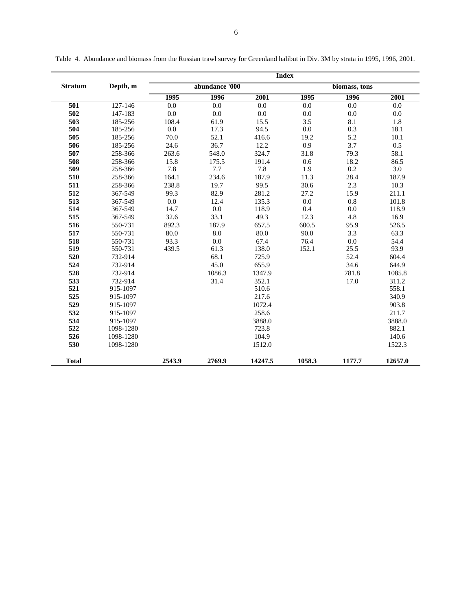|                | Depth, m  | <b>Index</b>   |         |         |               |         |         |  |
|----------------|-----------|----------------|---------|---------|---------------|---------|---------|--|
| <b>Stratum</b> |           | abundance '000 |         |         | biomass, tons |         |         |  |
|                |           | 1995           | 1996    | 2001    | 1995          | 1996    | 2001    |  |
| 501            | 127-146   | 0.0            | 0.0     | 0.0     | 0.0           | 0.0     | 0.0     |  |
| 502            | 147-183   | $0.0\,$        | 0.0     | 0.0     | 0.0           | $0.0\,$ | 0.0     |  |
| 503            | 185-256   | 108.4          | 61.9    | 15.5    | 3.5           | 8.1     | 1.8     |  |
| 504            | 185-256   | 0.0            | 17.3    | 94.5    | 0.0           | 0.3     | 18.1    |  |
| 505            | 185-256   | 70.0           | 52.1    | 416.6   | 19.2          | 5.2     | 10.1    |  |
| 506            | 185-256   | 24.6           | 36.7    | 12.2    | 0.9           | 3.7     | 0.5     |  |
| 507            | 258-366   | 263.6          | 548.0   | 324.7   | 31.8          | 79.3    | 58.1    |  |
| 508            | 258-366   | 15.8           | 175.5   | 191.4   | 0.6           | 18.2    | 86.5    |  |
| 509            | 258-366   | 7.8            | 7.7     | 7.8     | 1.9           | 0.2     | 3.0     |  |
| 510            | 258-366   | 164.1          | 234.6   | 187.9   | 11.3          | 28.4    | 187.9   |  |
| 511            | 258-366   | 238.8          | 19.7    | 99.5    | 30.6          | 2.3     | 10.3    |  |
| 512            | 367-549   | 99.3           | 82.9    | 281.2   | 27.2          | 15.9    | 211.1   |  |
| 513            | 367-549   | $0.0\,$        | 12.4    | 135.3   | $0.0\,$       | 0.8     | 101.8   |  |
| 514            | 367-549   | 14.7           | $0.0\,$ | 118.9   | 0.4           | 0.0     | 118.9   |  |
| 515            | 367-549   | 32.6           | 33.1    | 49.3    | 12.3          | 4.8     | 16.9    |  |
| 516            | 550-731   | 892.3          | 187.9   | 657.5   | 600.5         | 95.9    | 526.5   |  |
| 517            | 550-731   | 80.0           | 8.0     | 80.0    | 90.0          | 3.3     | 63.3    |  |
| 518            | 550-731   | 93.3           | 0.0     | 67.4    | 76.4          | 0.0     | 54.4    |  |
| 519            | 550-731   | 439.5          | 61.3    | 138.0   | 152.1         | 25.5    | 93.9    |  |
| 520            | 732-914   |                | 68.1    | 725.9   |               | 52.4    | 604.4   |  |
| 524            | 732-914   |                | 45.0    | 655.9   |               | 34.6    | 644.9   |  |
| 528            | 732-914   |                | 1086.3  | 1347.9  |               | 781.8   | 1085.8  |  |
| 533            | 732-914   |                | 31.4    | 352.1   |               | 17.0    | 311.2   |  |
| 521            | 915-1097  |                |         | 510.6   |               |         | 558.1   |  |
| 525            | 915-1097  |                |         | 217.6   |               |         | 340.9   |  |
| 529            | 915-1097  |                |         | 1072.4  |               |         | 903.8   |  |
| 532            | 915-1097  |                |         | 258.6   |               |         | 211.7   |  |
| 534            | 915-1097  |                |         | 3888.0  |               |         | 3888.0  |  |
| 522            | 1098-1280 |                |         | 723.8   |               |         | 882.1   |  |
| 526            | 1098-1280 |                |         | 104.9   |               |         | 140.6   |  |
| 530            | 1098-1280 |                |         | 1512.0  |               |         | 1522.3  |  |
| <b>Total</b>   |           | 2543.9         | 2769.9  | 14247.5 | 1058.3        | 1177.7  | 12657.0 |  |

Table 4. Abundance and biomass from the Russian trawl survey for Greenland halibut in Div. 3M by strata in 1995, 1996, 2001.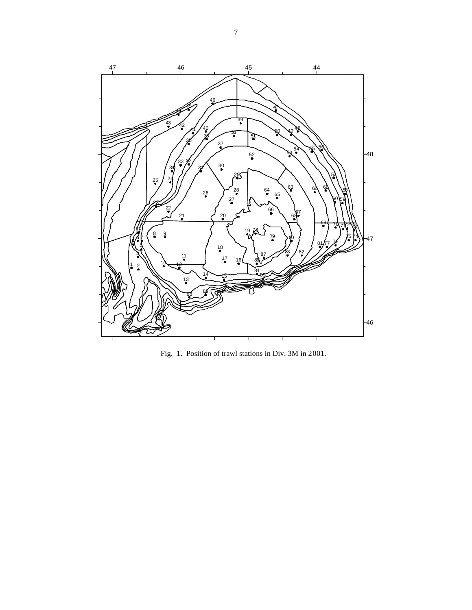

Fig. 1. Position of trawl stations in Div. 3M in 2001.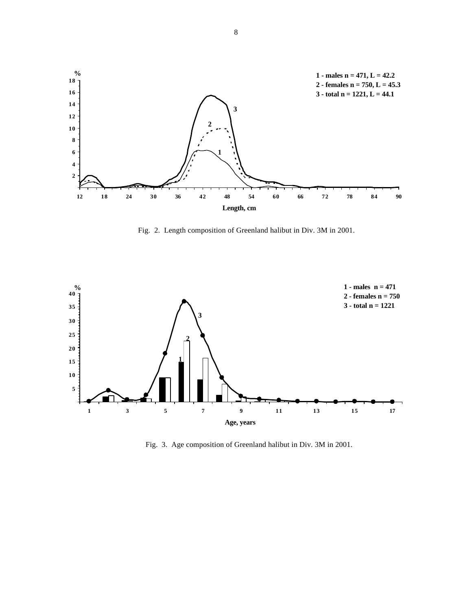

Fig. 2. Length composition of Greenland halibut in Div. 3M in 2001.



Fig. 3. Age composition of Greenland halibut in Div. 3M in 2001.